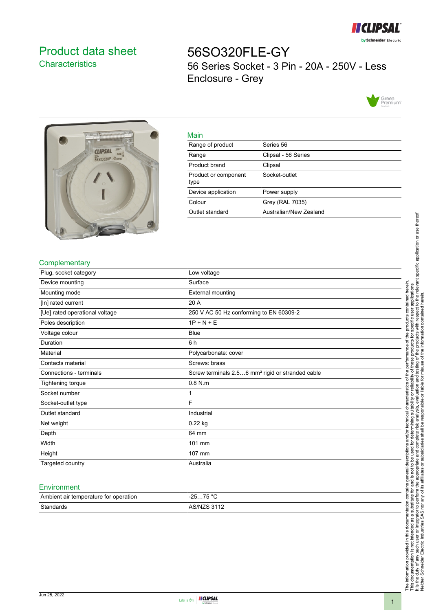

# <span id="page-0-0"></span>Product data sheet **Characteristics**

56SO320FLE-GY 56 Series Socket - 3 Pin - 20A - 250V - Less Enclosure - Grey





| __ |  |
|----|--|
|    |  |

| <u>iviali i</u>              |                        |
|------------------------------|------------------------|
| Range of product             | Series 56              |
| Range                        | Clipsal - 56 Series    |
| Product brand                | Clipsal                |
| Product or component<br>type | Socket-outlet          |
| Device application           | Power supply           |
| Colour                       | Grey (RAL 7035)        |
| Outlet standard              | Australian/New Zealand |
|                              |                        |

## **Complementary**

| Plug, socket category          | Low voltage                                                  |
|--------------------------------|--------------------------------------------------------------|
| Device mounting                | Surface                                                      |
| Mounting mode                  | External mounting                                            |
| [In] rated current             | 20 A                                                         |
| [Ue] rated operational voltage | 250 V AC 50 Hz conforming to EN 60309-2                      |
| Poles description              | $1P + N + E$                                                 |
| Voltage colour                 | Blue                                                         |
| Duration                       | 6 h                                                          |
| Material                       | Polycarbonate: cover                                         |
| Contacts material              | Screws: brass                                                |
| Connections - terminals        | Screw terminals 2.56 mm <sup>2</sup> rigid or stranded cable |
| Tightening torque              | $0.8$ N.m                                                    |
| Socket number                  | 1                                                            |
| Socket-outlet type             | F                                                            |
| Outlet standard                | Industrial                                                   |
| Net weight                     | $0.22$ kg                                                    |
| Depth                          | 64 mm                                                        |
| Width                          | 101 mm                                                       |
| Height                         | 107 mm                                                       |
| Targeted country               | Australia                                                    |

#### **Environment**

| Ambient air temperature for operation | 75 °C<br>າ⊏<br>. …ن∠-<br>7 J |
|---------------------------------------|------------------------------|
| Standards                             | <b>AR/NIZR 3112</b>          |